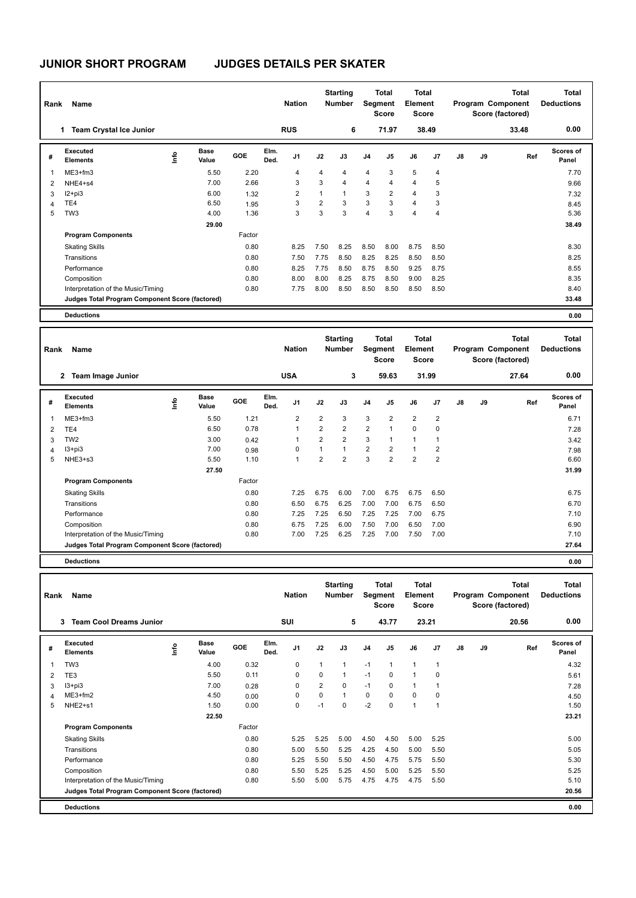## **JUNIOR SHORT PROGRAM JUDGES DETAILS PER SKATER**

| Rank           | Name                                            |      |                      |        |              | <b>Nation</b>  |                | <b>Starting</b><br><b>Number</b> | Segment        | <b>Total</b><br><b>Score</b> | <b>Total</b><br><b>Element</b><br>Score |                |    |    | <b>Total</b><br>Program Component<br>Score (factored) | <b>Total</b><br><b>Deductions</b> |
|----------------|-------------------------------------------------|------|----------------------|--------|--------------|----------------|----------------|----------------------------------|----------------|------------------------------|-----------------------------------------|----------------|----|----|-------------------------------------------------------|-----------------------------------|
|                | <b>Team Crystal Ice Junior</b><br>1             |      |                      |        |              | <b>RUS</b>     |                | 6                                |                | 71.97                        | 38.49                                   |                |    |    | 33.48                                                 | 0.00                              |
| #              | Executed<br><b>Elements</b>                     | lnfo | <b>Base</b><br>Value | GOE    | Elm.<br>Ded. | J <sub>1</sub> | J2             | J3                               | J <sub>4</sub> | J5                           | J6                                      | J7             | J8 | J9 | Ref                                                   | Scores of<br>Panel                |
| $\overline{1}$ | $ME3+fm3$                                       |      | 5.50                 | 2.20   |              | 4              | 4              | 4                                | $\overline{4}$ | 3                            | 5                                       | 4              |    |    |                                                       | 7.70                              |
| 2              | NHE4+s4                                         |      | 7.00                 | 2.66   |              | 3              | 3              | 4                                | $\overline{4}$ | $\overline{4}$               | 4                                       | 5              |    |    |                                                       | 9.66                              |
| 3              | $I2 + pi3$                                      |      | 6.00                 | 1.32   |              | 2              | 1              | $\mathbf{1}$                     | 3              | $\overline{2}$               | $\overline{4}$                          | 3              |    |    |                                                       | 7.32                              |
| $\overline{4}$ | TE4                                             |      | 6.50                 | 1.95   |              | 3              | $\overline{2}$ | 3                                | 3              | 3                            | $\overline{4}$                          | 3              |    |    |                                                       | 8.45                              |
| 5              | TW <sub>3</sub>                                 |      | 4.00                 | 1.36   |              | 3              | 3              | 3                                | $\overline{4}$ | 3                            | 4                                       | $\overline{4}$ |    |    |                                                       | 5.36                              |
|                |                                                 |      | 29.00                |        |              |                |                |                                  |                |                              |                                         |                |    |    |                                                       | 38.49                             |
|                | <b>Program Components</b>                       |      |                      | Factor |              |                |                |                                  |                |                              |                                         |                |    |    |                                                       |                                   |
|                | <b>Skating Skills</b>                           |      |                      | 0.80   |              | 8.25           | 7.50           | 8.25                             | 8.50           | 8.00                         | 8.75                                    | 8.50           |    |    |                                                       | 8.30                              |
|                | Transitions                                     |      |                      | 0.80   |              | 7.50           | 7.75           | 8.50                             | 8.25           | 8.25                         | 8.50                                    | 8.50           |    |    |                                                       | 8.25                              |
|                | Performance                                     |      |                      | 0.80   |              | 8.25           | 7.75           | 8.50                             | 8.75           | 8.50                         | 9.25                                    | 8.75           |    |    |                                                       | 8.55                              |
|                | Composition                                     |      |                      | 0.80   |              | 8.00           | 8.00           | 8.25                             | 8.75           | 8.50                         | 9.00                                    | 8.25           |    |    |                                                       | 8.35                              |
|                | Interpretation of the Music/Timing              |      |                      | 0.80   |              | 7.75           | 8.00           | 8.50                             | 8.50           | 8.50                         | 8.50                                    | 8.50           |    |    |                                                       | 8.40                              |
|                | Judges Total Program Component Score (factored) |      |                      |        |              |                |                |                                  |                |                              |                                         |                |    |    |                                                       | 33.48                             |
|                | <b>Deductions</b>                               |      |                      |        |              |                |                |                                  |                |                              |                                         |                |    |    |                                                       | 0.00                              |

| Rank           | Name                                            |      |                      |            |              | <b>Nation</b>  |                | <b>Starting</b><br>Number |                | Total<br>Segment<br><b>Score</b> | <b>Total</b><br>Element<br><b>Score</b> |                |    |    | <b>Total</b><br>Program Component<br>Score (factored) | <b>Total</b><br><b>Deductions</b> |
|----------------|-------------------------------------------------|------|----------------------|------------|--------------|----------------|----------------|---------------------------|----------------|----------------------------------|-----------------------------------------|----------------|----|----|-------------------------------------------------------|-----------------------------------|
|                | <b>Team Image Junior</b><br>$\mathbf{2}$        |      |                      |            |              | <b>USA</b>     |                | 3                         |                | 59.63                            |                                         | 31.99          |    |    | 27.64                                                 | 0.00                              |
| #              | Executed<br><b>Elements</b>                     | ١nfo | <b>Base</b><br>Value | <b>GOE</b> | Elm.<br>Ded. | J1             | J2             | J3                        | J <sub>4</sub> | J <sub>5</sub>                   | J6                                      | J7             | J8 | J9 | Ref                                                   | <b>Scores of</b><br>Panel         |
| $\overline{1}$ | $ME3+fm3$                                       |      | 5.50                 | 1.21       |              | $\overline{2}$ | $\overline{2}$ | 3                         | 3              | 2                                | $\overline{2}$                          | $\overline{2}$ |    |    |                                                       | 6.71                              |
| 2              | TE4                                             |      | 6.50                 | 0.78       |              |                | $\overline{2}$ | $\overline{2}$            | $\overline{2}$ | $\mathbf{1}$                     | $\Omega$                                | 0              |    |    |                                                       | 7.28                              |
| 3              | TW <sub>2</sub>                                 |      | 3.00                 | 0.42       |              |                | $\overline{2}$ | $\overline{2}$            | 3              | $\mathbf{1}$                     | 1                                       |                |    |    |                                                       | 3.42                              |
| $\overline{4}$ | $13 + pi3$                                      |      | 7.00                 | 0.98       |              | 0              | $\mathbf{1}$   | $\mathbf{1}$              | $\overline{2}$ | $\overline{2}$                   |                                         | 2              |    |    |                                                       | 7.98                              |
| 5              | NHE3+s3                                         |      | 5.50                 | 1.10       |              |                | $\overline{2}$ | $\overline{2}$            | 3              | $\overline{2}$                   | $\overline{2}$                          | $\overline{2}$ |    |    |                                                       | 6.60                              |
|                |                                                 |      | 27.50                |            |              |                |                |                           |                |                                  |                                         |                |    |    |                                                       | 31.99                             |
|                | <b>Program Components</b>                       |      |                      | Factor     |              |                |                |                           |                |                                  |                                         |                |    |    |                                                       |                                   |
|                | <b>Skating Skills</b>                           |      |                      | 0.80       |              | 7.25           | 6.75           | 6.00                      | 7.00           | 6.75                             | 6.75                                    | 6.50           |    |    |                                                       | 6.75                              |
|                | Transitions                                     |      |                      | 0.80       |              | 6.50           | 6.75           | 6.25                      | 7.00           | 7.00                             | 6.75                                    | 6.50           |    |    |                                                       | 6.70                              |
|                | Performance                                     |      |                      | 0.80       |              | 7.25           | 7.25           | 6.50                      | 7.25           | 7.25                             | 7.00                                    | 6.75           |    |    |                                                       | 7.10                              |
|                | Composition                                     |      |                      | 0.80       |              | 6.75           | 7.25           | 6.00                      | 7.50           | 7.00                             | 6.50                                    | 7.00           |    |    |                                                       | 6.90                              |
|                | Interpretation of the Music/Timing              |      |                      | 0.80       |              | 7.00           | 7.25           | 6.25                      | 7.25           | 7.00                             | 7.50                                    | 7.00           |    |    |                                                       | 7.10                              |
|                | Judges Total Program Component Score (factored) |      |                      |            |              |                |                |                           |                |                                  |                                         |                |    |    |                                                       | 27.64                             |
|                | <b>Deductions</b>                               |      |                      |            |              |                |                |                           |                |                                  |                                         |                |    |    |                                                       | 0.00                              |

| Rank | Name                                            |      |                      |        |              | <b>Nation</b>  |                | <b>Starting</b><br><b>Number</b> |                | Total<br>Segment<br><b>Score</b> | <b>Total</b><br>Element<br><b>Score</b> |                |    |    | <b>Total</b><br>Program Component<br>Score (factored) | <b>Total</b><br><b>Deductions</b> |
|------|-------------------------------------------------|------|----------------------|--------|--------------|----------------|----------------|----------------------------------|----------------|----------------------------------|-----------------------------------------|----------------|----|----|-------------------------------------------------------|-----------------------------------|
|      | 3<br><b>Team Cool Dreams Junior</b>             |      |                      |        |              | <b>SUI</b>     |                | 5                                |                | 43.77                            |                                         | 23.21          |    |    | 20.56                                                 | 0.00                              |
| #    | Executed<br><b>Elements</b>                     | lnfo | <b>Base</b><br>Value | GOE    | Elm.<br>Ded. | J <sub>1</sub> | J2             | J3                               | J <sub>4</sub> | J <sub>5</sub>                   | J6                                      | J <sub>7</sub> | J8 | J9 | Ref                                                   | Scores of<br>Panel                |
| 1    | TW <sub>3</sub>                                 |      | 4.00                 | 0.32   |              | 0              | 1              | $\overline{1}$                   | $-1$           | $\mathbf{1}$                     | $\mathbf{1}$                            | $\mathbf 1$    |    |    |                                                       | 4.32                              |
| 2    | TE3                                             |      | 5.50                 | 0.11   |              | 0              | $\Omega$       | $\mathbf{1}$                     | $-1$           | 0                                | $\mathbf{1}$                            | 0              |    |    |                                                       | 5.61                              |
| 3    | $13 + pi3$                                      |      | 7.00                 | 0.28   |              | 0              | $\overline{2}$ | 0                                | $-1$           | 0                                | $\mathbf{1}$                            |                |    |    |                                                       | 7.28                              |
| Δ    | $ME3+fm2$                                       |      | 4.50                 | 0.00   |              | 0              | 0              | $\overline{1}$                   | 0              | $\Omega$                         | $\mathbf 0$                             | 0              |    |    |                                                       | 4.50                              |
| 5    | NHE2+s1                                         |      | 1.50                 | 0.00   |              | 0              | $-1$           | $\Omega$                         | $-2$           | $\Omega$                         | 1                                       | 1              |    |    |                                                       | 1.50                              |
|      |                                                 |      | 22.50                |        |              |                |                |                                  |                |                                  |                                         |                |    |    |                                                       | 23.21                             |
|      | <b>Program Components</b>                       |      |                      | Factor |              |                |                |                                  |                |                                  |                                         |                |    |    |                                                       |                                   |
|      | <b>Skating Skills</b>                           |      |                      | 0.80   |              | 5.25           | 5.25           | 5.00                             | 4.50           | 4.50                             | 5.00                                    | 5.25           |    |    |                                                       | 5.00                              |
|      | Transitions                                     |      |                      | 0.80   |              | 5.00           | 5.50           | 5.25                             | 4.25           | 4.50                             | 5.00                                    | 5.50           |    |    |                                                       | 5.05                              |
|      | Performance                                     |      |                      | 0.80   |              | 5.25           | 5.50           | 5.50                             | 4.50           | 4.75                             | 5.75                                    | 5.50           |    |    |                                                       | 5.30                              |
|      | Composition                                     |      |                      | 0.80   |              | 5.50           | 5.25           | 5.25                             | 4.50           | 5.00                             | 5.25                                    | 5.50           |    |    |                                                       | 5.25                              |
|      | Interpretation of the Music/Timing              |      |                      | 0.80   |              | 5.50           | 5.00           | 5.75                             | 4.75           | 4.75                             | 4.75                                    | 5.50           |    |    |                                                       | 5.10                              |
|      | Judges Total Program Component Score (factored) |      |                      |        |              |                |                |                                  |                |                                  |                                         |                |    |    |                                                       | 20.56                             |
|      | <b>Deductions</b>                               |      |                      |        |              |                |                |                                  |                |                                  |                                         |                |    |    |                                                       | 0.00                              |